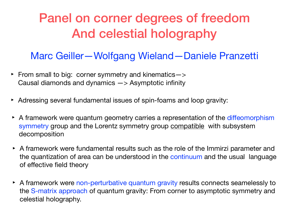## Panel on corner degrees of freedom And celestial holography

## Marc Geiller—Wolfgang Wieland—Daniele Pranzetti

- ‣ From small to big: corner symmetry and kinematics—> Causal diamonds and dynamics —> Asymptotic infinity
- ‣ Adressing several fundamental issues of spin-foams and loop gravity:
- A framework were quantum geometry carries a representation of the diffeomorphism symmetry group and the Lorentz symmetry group compatible with subsystem decomposition
- ‣ A framework were fundamental results such as the role of the Immirzi parameter and the quantization of area can be understood in the continuum and the usual language of effective field theory
- A framework were non-perturbative quantum gravity results connects seamelessly to the S-matrix approach of quantum gravity: From corner to asymptotic symmetry and celestial holography.